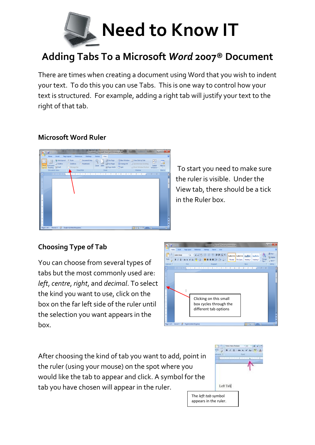

## **Adding Tabs To a Microsoft** *Word* **2007® Document**

There are times when creating a document using Word that you wish to indent your text. To do this you can use Tabs. This is one way to control how your text is structured. For example, adding a right tab will justify your text to the right of that tab.

## **Microsoft Word Ruler**



To start you need to make sure the ruler is visible. Under the View tab, there should be a tick in the Ruler box.

## **Choosing Type of Tab**

You can choose from several types of tabs but the most commonly used are: *left*, *centre*, *right*, and *decimal*. To select the kind you want to use, click on the box on the far left side of the ruler until the selection you want appears in the box.



After choosing the kind of tab you want to add, point in the ruler (using your mouse) on the spot where you would like the tab to appear and click. A symbol for the tab you have chosen will appear in the ruler.